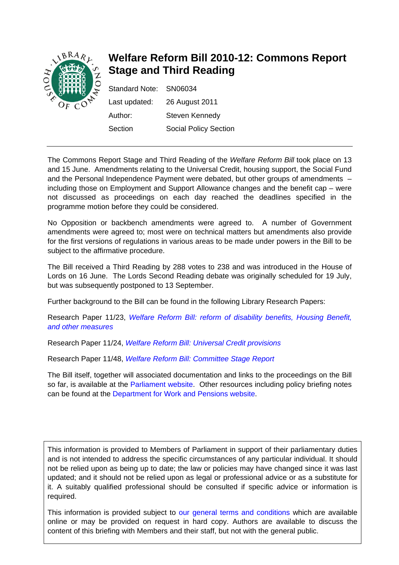

# **Welfare Reform Bill 2010-12: Commons Report Stage and Third Reading**

| Standard Note: SN06034 |                              |
|------------------------|------------------------------|
| Last updated:          | 26 August 2011               |
| Author:                | Steven Kennedy               |
| Section                | <b>Social Policy Section</b> |

The Commons Report Stage and Third Reading of the *Welfare Reform Bill* took place on 13 and 15 June. Amendments relating to the Universal Credit, housing support, the Social Fund and the Personal Independence Payment were debated, but other groups of amendments – including those on Employment and Support Allowance changes and the benefit cap – were not discussed as proceedings on each day reached the deadlines specified in the programme motion before they could be considered.

No Opposition or backbench amendments were agreed to. A number of Government amendments were agreed to; most were on technical matters but amendments also provide for the first versions of regulations in various areas to be made under powers in the Bill to be subject to the affirmative procedure.

The Bill received a Third Reading by 288 votes to 238 and was introduced in the House of Lords on 16 June. The Lords Second Reading debate was originally scheduled for 19 July, but was subsequently postponed to 13 September.

Further background to the Bill can be found in the following Library Research Papers:

Research Paper 11/23, *[Welfare Reform Bill: reform of disability benefits, Housing Benefit,](http://www.parliament.uk/briefing-papers/RP11-23)  [and other measures](http://www.parliament.uk/briefing-papers/RP11-23)*

Research Paper 11/24, *[Welfare Reform Bill: Universal Credit provisions](http://www.parliament.uk/briefing-papers/RP11-24)*

Research Paper 11/48, *[Welfare Reform Bill: Committee Stage Report](http://www.parliament.uk/briefing-papers/RP11-48)*

The Bill itself, together will associated documentation and links to the proceedings on the Bill so far, is available at the [Parliament website.](http://services.parliament.uk/bills/2010-11/welfarereform.html) Other resources including policy briefing notes can be found at the [Department for Work and Pensions website](http://www.dwp.gov.uk/policy/welfare-reform/legislation-and-key-documents/welfare-reform-bill-2011/index.shtml).

This information is provided to Members of Parliament in support of their parliamentary duties and is not intended to address the specific circumstances of any particular individual. It should not be relied upon as being up to date; the law or policies may have changed since it was last updated; and it should not be relied upon as legal or professional advice or as a substitute for it. A suitably qualified professional should be consulted if specific advice or information is required.

This information is provided subject to [our general terms and conditions](http://www.parliament.uk/site_information/parliamentary_copyright.cfm) which are available online or may be provided on request in hard copy. Authors are available to discuss the content of this briefing with Members and their staff, but not with the general public.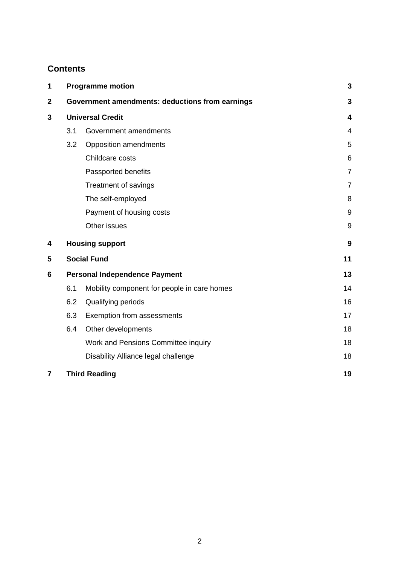## **Contents**

| 1              | <b>Programme motion</b>              |                                                 | 3              |
|----------------|--------------------------------------|-------------------------------------------------|----------------|
| $\mathbf{2}$   |                                      | Government amendments: deductions from earnings | 3              |
| 3              | <b>Universal Credit</b>              |                                                 | 4              |
|                | 3.1                                  | Government amendments                           | $\overline{4}$ |
|                | 3.2                                  | Opposition amendments                           | 5              |
|                |                                      | Childcare costs                                 | 6              |
|                |                                      | Passported benefits                             | $\overline{7}$ |
|                |                                      | Treatment of savings                            | $\overline{7}$ |
|                |                                      | The self-employed                               | 8              |
|                |                                      | Payment of housing costs                        | 9              |
|                |                                      | Other issues                                    | 9              |
| 4              | <b>Housing support</b>               |                                                 | 9              |
| 5              | <b>Social Fund</b>                   |                                                 | 11             |
| 6              | <b>Personal Independence Payment</b> |                                                 | 13             |
|                | 6.1                                  | Mobility component for people in care homes     | 14             |
|                | 6.2                                  | Qualifying periods                              | 16             |
|                | 6.3                                  | Exemption from assessments                      | 17             |
|                | 6.4                                  | Other developments                              | 18             |
|                |                                      | Work and Pensions Committee inquiry             | 18             |
|                |                                      | Disability Alliance legal challenge             | 18             |
| $\overline{7}$ |                                      | <b>Third Reading</b>                            | 19             |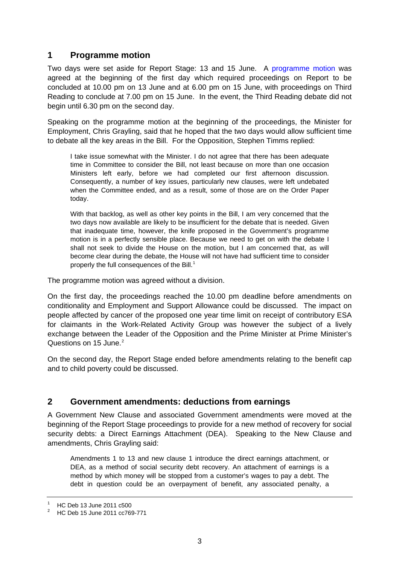## <span id="page-2-0"></span>**1 Programme motion**

Two days were set aside for Report Stage: 13 and 15 June. A [programme motion](http://www.publications.parliament.uk/pa/cm201011/cmhansrd/cm110613/debtext/110613-0001.htm#1106138000002) was agreed at the beginning of the first day which required proceedings on Report to be concluded at 10.00 pm on 13 June and at 6.00 pm on 15 June, with proceedings on Third Reading to conclude at 7.00 pm on 15 June. In the event, the Third Reading debate did not begin until 6.30 pm on the second day.

<span id="page-2-1"></span>Speaking on the programme motion at the beginning of the proceedings, the Minister for Employment, Chris Grayling, said that he hoped that the two days would allow sufficient time to debate all the key areas in the Bill. For the Opposition, Stephen Timms replied:

I take issue somewhat with the Minister. I do not agree that there has been adequate time in Committee to consider the Bill, not least because on more than one occasion Ministers left early, before we had completed our first afternoon discussion. Consequently, a number of key issues, particularly new clauses, were left undebated when the Committee ended, and as a result, some of those are on the Order Paper today.

With that backlog, as well as other key points in the Bill, I am very concerned that the two days now available are likely to be insufficient for the debate that is needed. Given that inadequate time, however, the knife proposed in the Government's programme motion is in a perfectly sensible place. Because we need to get on with the debate I shall not seek to divide the House on the motion, but I am concerned that, as will become clear during the debate, the House will not have had sufficient time to consider properly the full consequences of the Bill.<sup>[1](#page-2-1)</sup>

The programme motion was agreed without a division.

On the first day, the proceedings reached the 10.00 pm deadline before amendments on conditionality and Employment and Support Allowance could be discussed. The impact on people affected by cancer of the proposed one year time limit on receipt of contributory ESA for claimants in the Work-Related Activity Group was however the subject of a lively exchange between the Leader of the Opposition and the Prime Minister at Prime Minister's Questions on 15 June.<sup>[2](#page-2-2)</sup>

On the second day, the Report Stage ended before amendments relating to the benefit cap and to child poverty could be discussed.

## **2 Government amendments: deductions from earnings**

A Government New Clause and associated Government amendments were moved at the beginning of the Report Stage proceedings to provide for a new method of recovery for social security debts: a Direct Earnings Attachment (DEA). Speaking to the New Clause and amendments, Chris Grayling said:

Amendments 1 to 13 and new clause 1 introduce the direct earnings attachment, or DEA, as a method of social security debt recovery. An attachment of earnings is a method by which money will be stopped from a customer's wages to pay a debt. The debt in question could be an overpayment of benefit, any associated penalty, a

<sup>1</sup> HC Deb 13 June 2011 c500

<span id="page-2-2"></span><sup>2</sup> HC Deb 15 June 2011 cc769-771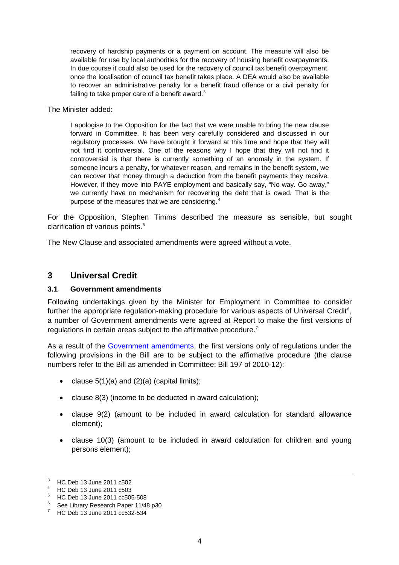<span id="page-3-0"></span>recovery of hardship payments or a payment on account. The measure will also be available for use by local authorities for the recovery of housing benefit overpayments. In due course it could also be used for the recovery of council tax benefit overpayment, once the localisation of council tax benefit takes place. A DEA would also be available to recover an administrative penalty for a benefit fraud offence or a civil penalty for failing to take proper care of a benefit award. $3$ 

The Minister added:

I apologise to the Opposition for the fact that we were unable to bring the new clause forward in Committee. It has been very carefully considered and discussed in our regulatory processes. We have brought it forward at this time and hope that they will not find it controversial. One of the reasons why I hope that they will not find it controversial is that there is currently something of an anomaly in the system. If someone incurs a penalty, for whatever reason, and remains in the benefit system, we can recover that money through a deduction from the benefit payments they receive. However, if they move into PAYE employment and basically say, "No way. Go away," we currently have no mechanism for recovering the debt that is owed. That is the purpose of the measures that we are considering.<sup>[4](#page-3-2)</sup>

For the Opposition, Stephen Timms described the measure as sensible, but sought clarification of various points.<sup>[5](#page-3-3)</sup>

The New Clause and associated amendments were agreed without a vote.

## **3 Universal Credit**

### **3.1 Government amendments**

Following undertakings given by the Minister for Employment in Committee to consider further the appropriate regulation-making procedure for various aspects of Universal Credit $6$ , a number of Government amendments were agreed at Report to make the first versions of regulations in certain areas subject to the affirmative procedure.<sup>[7](#page-3-5)</sup>

As a result of the [Government amendments](http://www.publications.parliament.uk/pa/bills/cbill/2010-2012/0197/pro1971406p.632-638.html), the first versions only of regulations under the following provisions in the Bill are to be subject to the affirmative procedure (the clause numbers refer to the Bill as amended in Committee; Bill 197 of 2010-12):

- clause  $5(1)(a)$  and  $(2)(a)$  (capital limits);
- clause 8(3) (income to be deducted in award calculation);
- clause 9(2) (amount to be included in award calculation for standard allowance element);
- clause 10(3) (amount to be included in award calculation for children and young persons element);

<span id="page-3-1"></span><sup>3</sup> HC Deb 13 June 2011 c502

<span id="page-3-2"></span><sup>4</sup> HC Deb 13 June 2011 c503

<sup>5</sup> HC Deb 13 June 2011 cc505-508

<span id="page-3-4"></span><span id="page-3-3"></span><sup>6</sup> See Library Research Paper 11/48 p30

<span id="page-3-5"></span><sup>7</sup> HC Deb 13 June 2011 cc532-534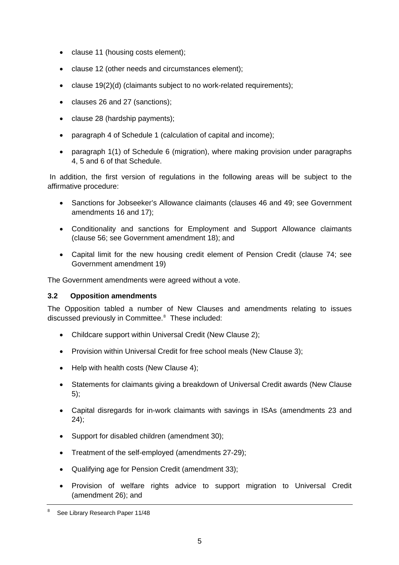- <span id="page-4-0"></span>• clause 11 (housing costs element);
- clause 12 (other needs and circumstances element);
- clause 19(2)(d) (claimants subject to no work-related requirements);
- clauses 26 and 27 (sanctions);
- clause 28 (hardship payments);
- paragraph 4 of Schedule 1 (calculation of capital and income);
- paragraph 1(1) of Schedule 6 (migration), where making provision under paragraphs 4, 5 and 6 of that Schedule.

 In addition, the first version of regulations in the following areas will be subject to the affirmative procedure:

- Sanctions for Jobseeker's Allowance claimants (clauses 46 and 49; see Government amendments 16 and 17);
- Conditionality and sanctions for Employment and Support Allowance claimants (clause 56; see Government amendment 18); and
- Capital limit for the new housing credit element of Pension Credit (clause 74; see Government amendment 19)

The Government amendments were agreed without a vote.

## **3.2 Opposition amendments**

The Opposition tabled a number of New Clauses and amendments relating to issues discussed previously in Committee.<sup>[8](#page-4-1)</sup> These included:

- Childcare support within Universal Credit (New Clause 2);
- Provision within Universal Credit for free school meals (New Clause 3):
- Help with health costs (New Clause 4):
- Statements for claimants giving a breakdown of Universal Credit awards (New Clause 5);
- Capital disregards for in-work claimants with savings in ISAs (amendments 23 and 24);
- Support for disabled children (amendment 30);
- Treatment of the self-employed (amendments 27-29);
- Qualifying age for Pension Credit (amendment 33);
- Provision of welfare rights advice to support migration to Universal Credit (amendment 26); and

<span id="page-4-1"></span><sup>8</sup> See Library Research Paper 11/48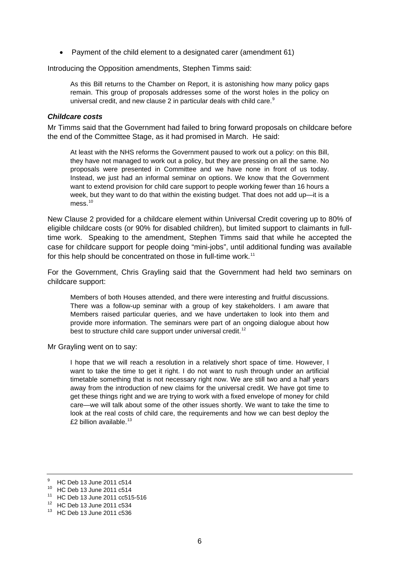<span id="page-5-0"></span>• Payment of the child element to a designated carer (amendment 61)

Introducing the Opposition amendments, Stephen Timms said:

As this Bill returns to the Chamber on Report, it is astonishing how many policy gaps remain. This group of proposals addresses some of the worst holes in the policy on universal credit, and new clause 2 in particular deals with child care.<sup>[9](#page-5-1)</sup>

#### *Childcare costs*

Mr Timms said that the Government had failed to bring forward proposals on childcare before the end of the Committee Stage, as it had promised in March. He said:

At least with the NHS reforms the Government paused to work out a policy: on this Bill, they have not managed to work out a policy, but they are pressing on all the same. No proposals were presented in Committee and we have none in front of us today. Instead, we just had an informal seminar on options. We know that the Government want to extend provision for child care support to people working fewer than 16 hours a week, but they want to do that within the existing budget. That does not add up—it is a mess<sup>[10](#page-5-2)</sup>

New Clause 2 provided for a childcare element within Universal Credit covering up to 80% of eligible childcare costs (or 90% for disabled children), but limited support to claimants in fulltime work. Speaking to the amendment, Stephen Timms said that while he accepted the case for childcare support for people doing "mini-jobs", until additional funding was available for this help should be concentrated on those in full-time work.<sup>[11](#page-5-3)</sup>

For the Government, Chris Grayling said that the Government had held two seminars on childcare support:

Members of both Houses attended, and there were interesting and fruitful discussions. There was a follow-up seminar with a group of key stakeholders. I am aware that Members raised particular queries, and we have undertaken to look into them and provide more information. The seminars were part of an ongoing dialogue about how best to structure child care support under universal credit.<sup>[12](#page-5-4)</sup>

Mr Grayling went on to say:

I hope that we will reach a resolution in a relatively short space of time. However, I want to take the time to get it right. I do not want to rush through under an artificial timetable something that is not necessary right now. We are still two and a half years away from the introduction of new claims for the universal credit. We have got time to get these things right and we are trying to work with a fixed envelope of money for child care—we will talk about some of the other issues shortly. We want to take the time to look at the real costs of child care, the requirements and how we can best deploy the £2 billion available. $13$ 

<sup>9</sup> HC Deb 13 June 2011 c514

<span id="page-5-2"></span><span id="page-5-1"></span><sup>10</sup> HC Deb 13 June 2011 c514

<span id="page-5-3"></span><sup>11</sup> HC Deb 13 June 2011 cc515-516

<span id="page-5-4"></span><sup>12</sup> HC Deb 13 June 2011 c534

<span id="page-5-5"></span><sup>13</sup> HC Deb 13 June 2011 c536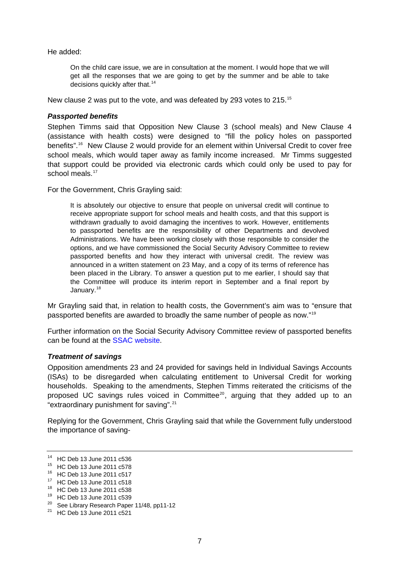<span id="page-6-0"></span>He added:

On the child care issue, we are in consultation at the moment. I would hope that we will get all the responses that we are going to get by the summer and be able to take decisions quickly after that.<sup>[14](#page-6-1)</sup>

New clause 2 was put to the vote, and was defeated by 293 votes to 215.[15](#page-6-2)

### *Passported benefits*

Stephen Timms said that Opposition New Clause 3 (school meals) and New Clause 4 (assistance with health costs) were designed to "fill the policy holes on passported benefits".<sup>[16](#page-6-3)</sup> New Clause 2 would provide for an element within Universal Credit to cover free school meals, which would taper away as family income increased. Mr Timms suggested that support could be provided via electronic cards which could only be used to pay for school meals.<sup>[17](#page-6-4)</sup>

For the Government, Chris Grayling said:

It is absolutely our objective to ensure that people on universal credit will continue to receive appropriate support for school meals and health costs, and that this support is withdrawn gradually to avoid damaging the incentives to work. However, entitlements to passported benefits are the responsibility of other Departments and devolved Administrations. We have been working closely with those responsible to consider the options, and we have commissioned the Social Security Advisory Committee to review passported benefits and how they interact with universal credit. The review was announced in a written statement on 23 May, and a copy of its terms of reference has been placed in the Library. To answer a question put to me earlier, I should say that the Committee will produce its interim report in September and a final report by January.<sup>[18](#page-6-5)</sup>

Mr Grayling said that, in relation to health costs, the Government's aim was to "ensure that passported benefits are awarded to broadly the same number of people as now."[19](#page-6-6)

Further information on the Social Security Advisory Committee review of passported benefits can be found at the [SSAC website](http://ssac.independent.gov.uk/).

#### *Treatment of savings*

Opposition amendments 23 and 24 provided for savings held in Individual Savings Accounts (ISAs) to be disregarded when calculating entitlement to Universal Credit for working households. Speaking to the amendments, Stephen Timms reiterated the criticisms of the proposed UC savings rules voiced in Committee<sup>[20](#page-6-7)</sup>, arguing that they added up to an "extraordinary punishment for saving".[21](#page-6-8)

Replying for the Government, Chris Grayling said that while the Government fully understood the importance of saving-

<span id="page-6-1"></span><sup>14</sup> HC Deb 13 June 2011 c536

<span id="page-6-2"></span><sup>15</sup> HC Deb 13 June 2011 c578

<sup>16</sup> HC Deb 13 June 2011 c517

<span id="page-6-4"></span><span id="page-6-3"></span><sup>17</sup> HC Deb 13 June 2011 c518

<span id="page-6-5"></span><sup>18</sup> HC Deb 13 June 2011 c538

<span id="page-6-6"></span><sup>19</sup> HC Deb 13 June 2011 c539

<span id="page-6-7"></span><sup>&</sup>lt;sup>20</sup> See Library Research Paper 11/48, pp11-12

<span id="page-6-8"></span><sup>21</sup> HC Deb 13 June 2011 c521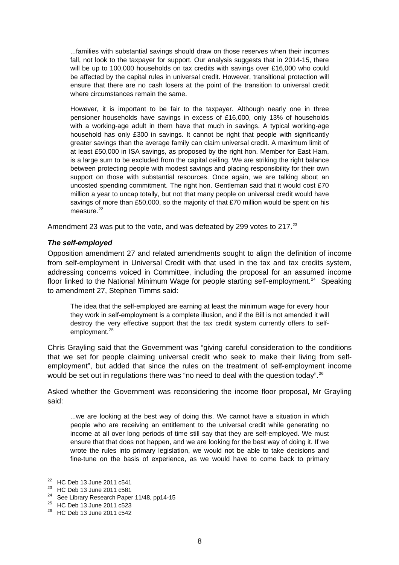<span id="page-7-0"></span>...families with substantial savings should draw on those reserves when their incomes fall, not look to the taxpayer for support. Our analysis suggests that in 2014-15, there will be up to 100,000 households on tax credits with savings over £16,000 who could be affected by the capital rules in universal credit. However, transitional protection will ensure that there are no cash losers at the point of the transition to universal credit where circumstances remain the same.

However, it is important to be fair to the taxpayer. Although nearly one in three pensioner households have savings in excess of £16,000, only 13% of households with a working-age adult in them have that much in savings. A typical working-age household has only £300 in savings. It cannot be right that people with significantly greater savings than the average family can claim universal credit. A maximum limit of at least £50,000 in ISA savings, as proposed by the right hon. Member for East Ham, is a large sum to be excluded from the capital ceiling. We are striking the right balance between protecting people with modest savings and placing responsibility for their own support on those with substantial resources. Once again, we are talking about an uncosted spending commitment. The right hon. Gentleman said that it would cost £70 million a year to uncap totally, but not that many people on universal credit would have savings of more than £50,000, so the majority of that £70 million would be spent on his measure $22$ 

Amendment 23 was put to the vote, and was defeated by 299 votes to 217.<sup>23</sup>

### *The self-employed*

Opposition amendment 27 and related amendments sought to align the definition of income from self-employment in Universal Credit with that used in the tax and tax credits system, addressing concerns voiced in Committee, including the proposal for an assumed income floor linked to the National Minimum Wage for people starting self-employment.<sup>[24](#page-7-3)</sup> Speaking to amendment 27, Stephen Timms said:

The idea that the self-employed are earning at least the minimum wage for every hour they work in self-employment is a complete illusion, and if the Bill is not amended it will destroy the very effective support that the tax credit system currently offers to self-employment.<sup>[25](#page-7-4)</sup>

Chris Grayling said that the Government was "giving careful consideration to the conditions that we set for people claiming universal credit who seek to make their living from selfemployment", but added that since the rules on the treatment of self-employment income would be set out in regulations there was "no need to deal with the question today".<sup>[26](#page-7-5)</sup>

Asked whether the Government was reconsidering the income floor proposal, Mr Grayling said:

...we are looking at the best way of doing this. We cannot have a situation in which people who are receiving an entitlement to the universal credit while generating no income at all over long periods of time still say that they are self-employed. We must ensure that that does not happen, and we are looking for the best way of doing it. If we wrote the rules into primary legislation, we would not be able to take decisions and fine-tune on the basis of experience, as we would have to come back to primary

<span id="page-7-1"></span><sup>22</sup> HC Deb 13 June 2011 c541

<span id="page-7-2"></span> $^{23}$  HC Deb 13 June 2011 c581

See Library Research Paper 11/48, pp14-15

<span id="page-7-4"></span><span id="page-7-3"></span><sup>25</sup> HC Deb 13 June 2011 c523

<span id="page-7-5"></span><sup>26</sup> HC Deb 13 June 2011 c542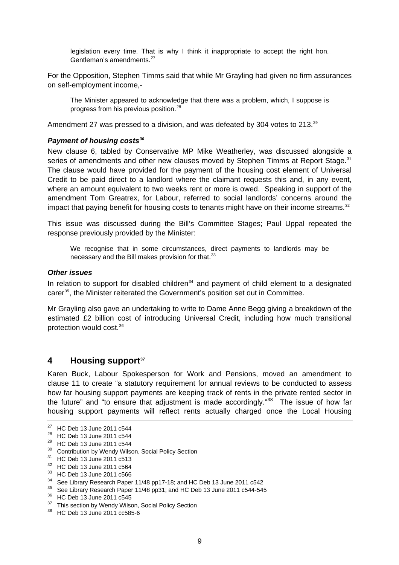<span id="page-8-0"></span>legislation every time. That is why I think it inappropriate to accept the right hon. Gentleman's amendments.[27](#page-8-1)

For the Opposition, Stephen Timms said that while Mr Grayling had given no firm assurances on self-employment income,-

The Minister appeared to acknowledge that there was a problem, which, I suppose is progress from his previous position.[28](#page-8-2)

Amendment 27 was pressed to a division, and was defeated by 304 votes to 213.<sup>[29](#page-8-3)</sup>

#### *Payment of housing costs[30](#page-8-4)*

New clause 6, tabled by Conservative MP Mike Weatherley, was discussed alongside a series of amendments and other new clauses moved by Stephen Timms at Report Stage.<sup>[31](#page-8-5)</sup> The clause would have provided for the payment of the housing cost element of Universal Credit to be paid direct to a landlord where the claimant requests this and, in any event, where an amount equivalent to two weeks rent or more is owed. Speaking in support of the amendment Tom Greatrex, for Labour, referred to social landlords' concerns around the impact that paying benefit for housing costs to tenants might have on their income streams. $32$ 

This issue was discussed during the Bill's Committee Stages; Paul Uppal repeated the response previously provided by the Minister:

We recognise that in some circumstances, direct payments to landlords may be necessary and the Bill makes provision for that.<sup>[33](#page-8-7)</sup>

#### *Other issues*

In relation to support for disabled children<sup>[34](#page-8-8)</sup> and payment of child element to a designated carer<sup>[35](#page-8-9)</sup>, the Minister reiterated the Government's position set out in Committee.

Mr Grayling also gave an undertaking to write to Dame Anne Begg giving a breakdown of the estimated £2 billion cost of introducing Universal Credit, including how much transitional protection would cost.[36](#page-8-10)

## **4 Housing suppor[t37](#page-8-11)**

Karen Buck, Labour Spokesperson for Work and Pensions, moved an amendment to clause 11 to create "a statutory requirement for annual reviews to be conducted to assess how far housing support payments are keeping track of rents in the private rented sector in the future" and "to ensure that adjustment is made accordingly."<sup>[38](#page-8-12)</sup> The issue of how far housing support payments will reflect rents actually charged once the Local Housing

<span id="page-8-7"></span>33 HC Deb 13 June 2011 c566

<span id="page-8-1"></span><sup>27</sup> HC Deb 13 June 2011 c544

<span id="page-8-2"></span><sup>28</sup> HC Deb 13 June 2011 c544

<span id="page-8-3"></span><sup>29</sup> HC Deb 13 June 2011 c544

<span id="page-8-4"></span><sup>&</sup>lt;sup>30</sup> Contribution by Wendy Wilson, Social Policy Section

<span id="page-8-5"></span><sup>31</sup> HC Deb 13 June 2011 c513

<span id="page-8-6"></span><sup>32</sup> HC Deb 13 June 2011 c564

<sup>&</sup>lt;sup>34</sup> See Library Research Paper 11/48 pp17-18; and HC Deb 13 June 2011 c542<br><sup>35</sup> See Library Research Paper 14/49 pp34; and UC Deb 43, June 2014 a544 545

<span id="page-8-9"></span><span id="page-8-8"></span><sup>35</sup> See Library Research Paper 11/48 pp31; and HC Deb 13 June 2011 c544-545

<span id="page-8-10"></span><sup>36</sup> HC Deb 13 June 2011 c545

<span id="page-8-11"></span><sup>&</sup>lt;sup>37</sup> This section by Wendy Wilson, Social Policy Section

<span id="page-8-12"></span><sup>38</sup> HC Deb 13 June 2011 cc585-6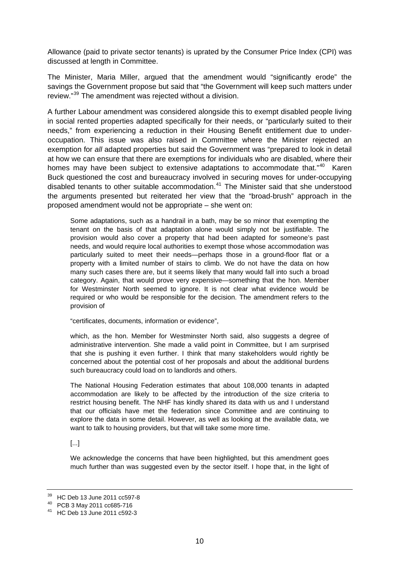Allowance (paid to private sector tenants) is uprated by the Consumer Price Index (CPI) was discussed at length in Committee.

The Minister, Maria Miller, argued that the amendment would "significantly erode" the savings the Government propose but said that "the Government will keep such matters under review."[39](#page-9-0) The amendment was rejected without a division.

A further Labour amendment was considered alongside this to exempt disabled people living in social rented properties adapted specifically for their needs, or "particularly suited to their needs," from experiencing a reduction in their Housing Benefit entitlement due to underoccupation. This issue was also raised in Committee where the Minister rejected an exemption for *all* adapted properties but said the Government was "prepared to look in detail at how we can ensure that there are exemptions for individuals who are disabled, where their homes may have been subject to extensive adaptations to accommodate that."<sup>[40](#page-9-1)</sup> Karen Buck questioned the cost and bureaucracy involved in securing moves for under-occupying disabled tenants to other suitable accommodation. $41$  The Minister said that she understood the arguments presented but reiterated her view that the "broad-brush" approach in the proposed amendment would not be appropriate – she went on:

Some adaptations, such as a handrail in a bath, may be so minor that exempting the tenant on the basis of that adaptation alone would simply not be justifiable. The provision would also cover a property that had been adapted for someone's past needs, and would require local authorities to exempt those whose accommodation was particularly suited to meet their needs—perhaps those in a ground-floor flat or a property with a limited number of stairs to climb. We do not have the data on how many such cases there are, but it seems likely that many would fall into such a broad category. Again, that would prove very expensive—something that the hon. Member for Westminster North seemed to ignore. It is not clear what evidence would be required or who would be responsible for the decision. The amendment refers to the provision of

"certificates, documents, information or evidence",

which, as the hon. Member for Westminster North said, also suggests a degree of administrative intervention. She made a valid point in Committee, but I am surprised that she is pushing it even further. I think that many stakeholders would rightly be concerned about the potential cost of her proposals and about the additional burdens such bureaucracy could load on to landlords and others.

The National Housing Federation estimates that about 108,000 tenants in adapted accommodation are likely to be affected by the introduction of the size criteria to restrict housing benefit. The NHF has kindly shared its data with us and I understand that our officials have met the federation since Committee and are continuing to explore the data in some detail. However, as well as looking at the available data, we want to talk to housing providers, but that will take some more time.

[...]

We acknowledge the concerns that have been highlighted, but this amendment goes much further than was suggested even by the sector itself. I hope that, in the light of

<sup>39</sup> HC Deb 13 June 2011 cc597-8

<span id="page-9-1"></span><span id="page-9-0"></span><sup>40</sup> PCB 3 May 2011 cc685-716

<span id="page-9-2"></span><sup>41</sup> HC Deb 13 June 2011 c592-3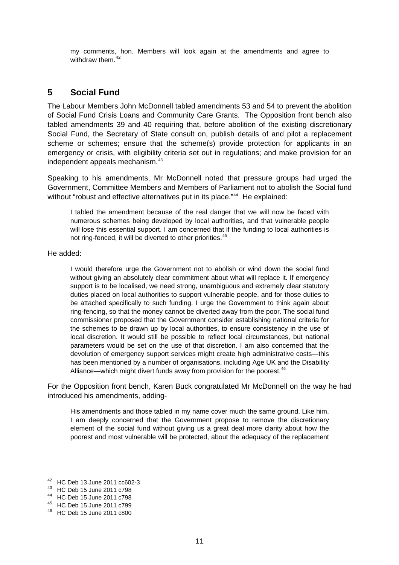<span id="page-10-0"></span>my comments, hon. Members will look again at the amendments and agree to withdraw them.<sup>[42](#page-10-1)</sup>

## **5 Social Fund**

The Labour Members John McDonnell tabled amendments 53 and 54 to prevent the abolition of Social Fund Crisis Loans and Community Care Grants. The Opposition front bench also tabled amendments 39 and 40 requiring that, before abolition of the existing discretionary Social Fund, the Secretary of State consult on, publish details of and pilot a replacement scheme or schemes; ensure that the scheme(s) provide protection for applicants in an emergency or crisis, with eligibility criteria set out in regulations; and make provision for an independent appeals mechanism.<sup>[43](#page-10-2)</sup>

Speaking to his amendments, Mr McDonnell noted that pressure groups had urged the Government, Committee Members and Members of Parliament not to abolish the Social fund without "robust and effective alternatives put in its place."<sup>[44](#page-10-3)</sup> He explained:

I tabled the amendment because of the real danger that we will now be faced with numerous schemes being developed by local authorities, and that vulnerable people will lose this essential support. I am concerned that if the funding to local authorities is not ring-fenced, it will be diverted to other priorities.<sup>[45](#page-10-4)</sup>

He added:

I would therefore urge the Government not to abolish or wind down the social fund without giving an absolutely clear commitment about what will replace it. If emergency support is to be localised, we need strong, unambiguous and extremely clear statutory duties placed on local authorities to support vulnerable people, and for those duties to be attached specifically to such funding. I urge the Government to think again about ring-fencing, so that the money cannot be diverted away from the poor. The social fund commissioner proposed that the Government consider establishing national criteria for the schemes to be drawn up by local authorities, to ensure consistency in the use of local discretion. It would still be possible to reflect local circumstances, but national parameters would be set on the use of that discretion. I am also concerned that the devolution of emergency support services might create high administrative costs—this has been mentioned by a number of organisations, including Age UK and the Disability Alliance—which might divert funds away from provision for the poorest.<sup>[46](#page-10-5)</sup>

For the Opposition front bench, Karen Buck congratulated Mr McDonnell on the way he had introduced his amendments, adding-

His amendments and those tabled in my name cover much the same ground. Like him, I am deeply concerned that the Government propose to remove the discretionary element of the social fund without giving us a great deal more clarity about how the poorest and most vulnerable will be protected, about the adequacy of the replacement

<span id="page-10-1"></span><sup>42</sup> HC Deb 13 June 2011 cc602-3

<span id="page-10-2"></span><sup>43</sup> HC Deb 15 June 2011 c798

<sup>44</sup> HC Deb 15 June 2011 c798

<span id="page-10-4"></span><span id="page-10-3"></span><sup>45</sup> HC Deb 15 June 2011 c799

<span id="page-10-5"></span><sup>46</sup> HC Deb 15 June 2011 c800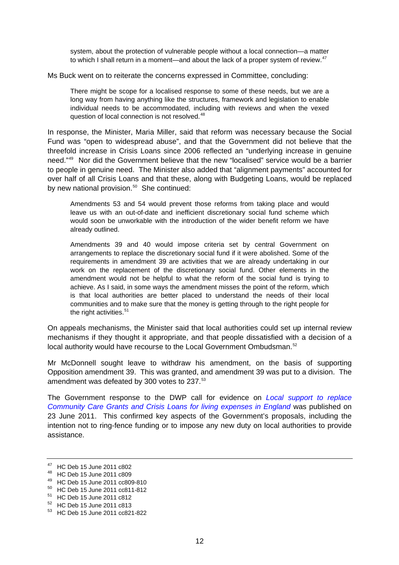system, about the protection of vulnerable people without a local connection—a matter to which I shall return in a moment—and about the lack of a proper system of review. $47$ 

Ms Buck went on to reiterate the concerns expressed in Committee, concluding:

There might be scope for a localised response to some of these needs, but we are a long way from having anything like the structures, framework and legislation to enable individual needs to be accommodated, including with reviews and when the vexed question of local connection is not resolved.<sup>[48](#page-11-1)</sup>

In response, the Minister, Maria Miller, said that reform was necessary because the Social Fund was "open to widespread abuse", and that the Government did not believe that the threefold increase in Crisis Loans since 2006 reflected an "underlying increase in genuine need."[49](#page-11-2) Nor did the Government believe that the new "localised" service would be a barrier to people in genuine need. The Minister also added that "alignment payments" accounted for over half of all Crisis Loans and that these, along with Budgeting Loans, would be replaced by new national provision. $50$  She continued:

Amendments 53 and 54 would prevent those reforms from taking place and would leave us with an out-of-date and inefficient discretionary social fund scheme which would soon be unworkable with the introduction of the wider benefit reform we have already outlined.

Amendments 39 and 40 would impose criteria set by central Government on arrangements to replace the discretionary social fund if it were abolished. Some of the requirements in amendment 39 are activities that we are already undertaking in our work on the replacement of the discretionary social fund. Other elements in the amendment would not be helpful to what the reform of the social fund is trying to achieve. As I said, in some ways the amendment misses the point of the reform, which is that local authorities are better placed to understand the needs of their local communities and to make sure that the money is getting through to the right people for the right activities.<sup>[51](#page-11-4)</sup>

On appeals mechanisms, the Minister said that local authorities could set up internal review mechanisms if they thought it appropriate, and that people dissatisfied with a decision of a local authority would have recourse to the Local Government Ombudsman.<sup>[52](#page-11-5)</sup>

Mr McDonnell sought leave to withdraw his amendment, on the basis of supporting Opposition amendment 39. This was granted, and amendment 39 was put to a division. The amendment was defeated by 300 votes to 237.<sup>[53](#page-11-6)</sup>

The Government response to the DWP call for evidence on *[Local support to replace](http://www.dwp.gov.uk/docs/social-fund-localisation-response.pdf)  [Community Care Grants and Crisis Loans for living expenses in England](http://www.dwp.gov.uk/docs/social-fund-localisation-response.pdf)* was published on 23 June 2011. This confirmed key aspects of the Government's proposals, including the intention not to ring-fence funding or to impose any new duty on local authorities to provide assistance.

<span id="page-11-0"></span><sup>47</sup> HC Deb 15 June 2011 c802

<span id="page-11-1"></span><sup>48</sup> HC Deb 15 June 2011 c809

<span id="page-11-2"></span><sup>49</sup> HC Deb 15 June 2011 cc809-810

<span id="page-11-3"></span><sup>50</sup> HC Deb 15 June 2011 cc811-812

<sup>51</sup> HC Deb 15 June 2011 c812

<span id="page-11-5"></span><span id="page-11-4"></span><sup>52</sup> HC Deb 15 June 2011 c813

<span id="page-11-6"></span><sup>53</sup> HC Deb 15 June 2011 cc821-822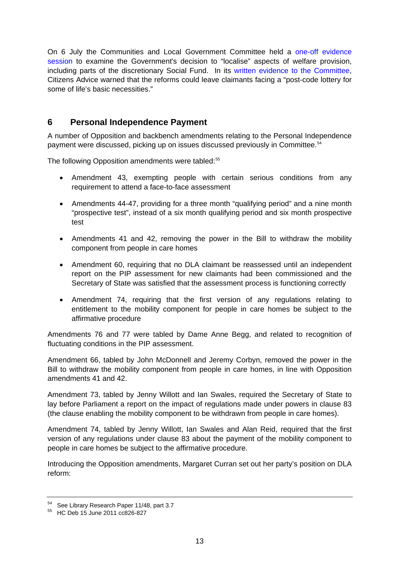<span id="page-12-0"></span>On 6 July the Communities and Local Government Committee held a [one-off evidence](http://www.parliament.uk/business/committees/committees-a-z/commons-select/communities-and-local-government-committee/one-off-evidence-sessions/localisation-issues-in-welfare-reform/)  [session](http://www.parliament.uk/business/committees/committees-a-z/commons-select/communities-and-local-government-committee/one-off-evidence-sessions/localisation-issues-in-welfare-reform/) to examine the Government's decision to "localise" aspects of welfare provision, including parts of the discretionary Social Fund. In its [written evidence to the Committee](http://www.publications.parliament.uk/pa/cm201012/cmselect/cmcomloc/writev/localisation/lwr10.htm), Citizens Advice warned that the reforms could leave claimants facing a "post-code lottery for some of life's basic necessities."

## **6 Personal Independence Payment**

A number of Opposition and backbench amendments relating to the Personal Independence payment were discussed, picking up on issues discussed previously in Committee.<sup>[54](#page-12-1)</sup>

The following Opposition amendments were tabled:<sup>[55](#page-12-2)</sup>

- Amendment 43, exempting people with certain serious conditions from any requirement to attend a face-to-face assessment
- Amendments 44-47, providing for a three month "qualifying period" and a nine month "prospective test", instead of a six month qualifying period and six month prospective test
- Amendments 41 and 42, removing the power in the Bill to withdraw the mobility component from people in care homes
- Amendment 60, requiring that no DLA claimant be reassessed until an independent report on the PIP assessment for new claimants had been commissioned and the Secretary of State was satisfied that the assessment process is functioning correctly
- Amendment 74, requiring that the first version of any regulations relating to entitlement to the mobility component for people in care homes be subject to the affirmative procedure

Amendments 76 and 77 were tabled by Dame Anne Begg, and related to recognition of fluctuating conditions in the PIP assessment.

Amendment 66, tabled by John McDonnell and Jeremy Corbyn, removed the power in the Bill to withdraw the mobility component from people in care homes, in line with Opposition amendments 41 and 42.

Amendment 73, tabled by Jenny Willott and Ian Swales, required the Secretary of State to lay before Parliament a report on the impact of regulations made under powers in clause 83 (the clause enabling the mobility component to be withdrawn from people in care homes).

Amendment 74, tabled by Jenny Willott, Ian Swales and Alan Reid, required that the first version of any regulations under clause 83 about the payment of the mobility component to people in care homes be subject to the affirmative procedure.

Introducing the Opposition amendments, Margaret Curran set out her party's position on DLA reform:

<span id="page-12-1"></span><sup>54</sup> See Library Research Paper 11/48, part 3.7

<span id="page-12-2"></span><sup>55</sup> HC Deb 15 June 2011 cc826-827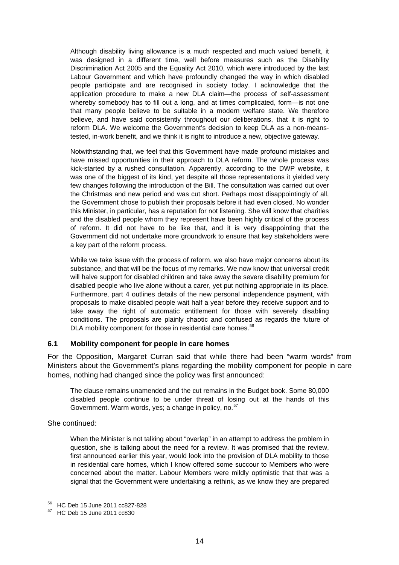<span id="page-13-0"></span>Although disability living allowance is a much respected and much valued benefit, it was designed in a different time, well before measures such as the Disability Discrimination Act 2005 and the Equality Act 2010, which were introduced by the last Labour Government and which have profoundly changed the way in which disabled people participate and are recognised in society today. I acknowledge that the application procedure to make a new DLA claim—the process of self-assessment whereby somebody has to fill out a long, and at times complicated, form—is not one that many people believe to be suitable in a modern welfare state. We therefore believe, and have said consistently throughout our deliberations, that it is right to reform DLA. We welcome the Government's decision to keep DLA as a non-meanstested, in-work benefit, and we think it is right to introduce a new, objective gateway.

Notwithstanding that, we feel that this Government have made profound mistakes and have missed opportunities in their approach to DLA reform. The whole process was kick-started by a rushed consultation. Apparently, according to the DWP website, it was one of the biggest of its kind, yet despite all those representations it yielded very few changes following the introduction of the Bill. The consultation was carried out over the Christmas and new period and was cut short. Perhaps most disappointingly of all, the Government chose to publish their proposals before it had even closed. No wonder this Minister, in particular, has a reputation for not listening. She will know that charities and the disabled people whom they represent have been highly critical of the process of reform. It did not have to be like that, and it is very disappointing that the Government did not undertake more groundwork to ensure that key stakeholders were a key part of the reform process.

While we take issue with the process of reform, we also have major concerns about its substance, and that will be the focus of my remarks. We now know that universal credit will halve support for disabled children and take away the severe disability premium for disabled people who live alone without a carer, yet put nothing appropriate in its place. Furthermore, part 4 outlines details of the new personal independence payment, with proposals to make disabled people wait half a year before they receive support and to take away the right of automatic entitlement for those with severely disabling conditions. The proposals are plainly chaotic and confused as regards the future of DLA mobility component for those in residential care homes.<sup>[56](#page-13-1)</sup>

### **6.1 Mobility component for people in care homes**

For the Opposition, Margaret Curran said that while there had been "warm words" from Ministers about the Government's plans regarding the mobility component for people in care homes, nothing had changed since the policy was first announced:

The clause remains unamended and the cut remains in the Budget book. Some 80,000 disabled people continue to be under threat of losing out at the hands of this Government. Warm words, yes; a change in policy, no.<sup>[57](#page-13-2)</sup>

She continued:

When the Minister is not talking about "overlap" in an attempt to address the problem in question, she is talking about the need for a review. It was promised that the review, first announced earlier this year, would look into the provision of DLA mobility to those in residential care homes, which I know offered some succour to Members who were concerned about the matter. Labour Members were mildly optimistic that that was a signal that the Government were undertaking a rethink, as we know they are prepared

<span id="page-13-1"></span><sup>56</sup> HC Deb 15 June 2011 cc827-828

<span id="page-13-2"></span><sup>57</sup> HC Deb 15 June 2011 cc830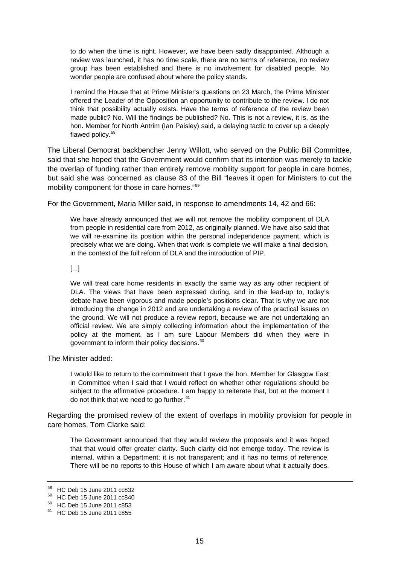to do when the time is right. However, we have been sadly disappointed. Although a review was launched, it has no time scale, there are no terms of reference, no review group has been established and there is no involvement for disabled people. No wonder people are confused about where the policy stands.

I remind the House that at Prime Minister's questions on 23 March, the Prime Minister offered the Leader of the Opposition an opportunity to contribute to the review. I do not think that possibility actually exists. Have the terms of reference of the review been made public? No. Will the findings be published? No. This is not a review, it is, as the hon. Member for North Antrim (Ian Paisley) said, a delaying tactic to cover up a deeply flawed policy.<sup>[58](#page-14-0)</sup>

The Liberal Democrat backbencher Jenny Willott, who served on the Public Bill Committee, said that she hoped that the Government would confirm that its intention was merely to tackle the overlap of funding rather than entirely remove mobility support for people in care homes, but said she was concerned as clause 83 of the Bill "leaves it open for Ministers to cut the mobility component for those in care homes."[59](#page-14-1)

For the Government, Maria Miller said, in response to amendments 14, 42 and 66:

We have already announced that we will not remove the mobility component of DLA from people in residential care from 2012, as originally planned. We have also said that we will re-examine its position within the personal independence payment, which is precisely what we are doing. When that work is complete we will make a final decision, in the context of the full reform of DLA and the introduction of PIP.

#### [...]

We will treat care home residents in exactly the same way as any other recipient of DLA. The views that have been expressed during, and in the lead-up to, today's debate have been vigorous and made people's positions clear. That is why we are not introducing the change in 2012 and are undertaking a review of the practical issues on the ground. We will not produce a review report, because we are not undertaking an official review. We are simply collecting information about the implementation of the policy at the moment, as I am sure Labour Members did when they were in government to inform their policy decisions.<sup>[60](#page-14-2)</sup>

The Minister added:

I would like to return to the commitment that I gave the hon. Member for Glasgow East in Committee when I said that I would reflect on whether other regulations should be subject to the affirmative procedure. I am happy to reiterate that, but at the moment I do not think that we need to go further.<sup>[61](#page-14-3)</sup>

Regarding the promised review of the extent of overlaps in mobility provision for people in care homes, Tom Clarke said:

The Government announced that they would review the proposals and it was hoped that that would offer greater clarity. Such clarity did not emerge today. The review is internal, within a Department; it is not transparent; and it has no terms of reference. There will be no reports to this House of which I am aware about what it actually does.

<span id="page-14-0"></span><sup>58</sup> HC Deb 15 June 2011 cc832

<sup>59</sup> HC Deb 15 June 2011 cc840

<span id="page-14-2"></span><span id="page-14-1"></span><sup>60</sup> HC Deb 15 June 2011 c853

<span id="page-14-3"></span><sup>61</sup> HC Deb 15 June 2011 c855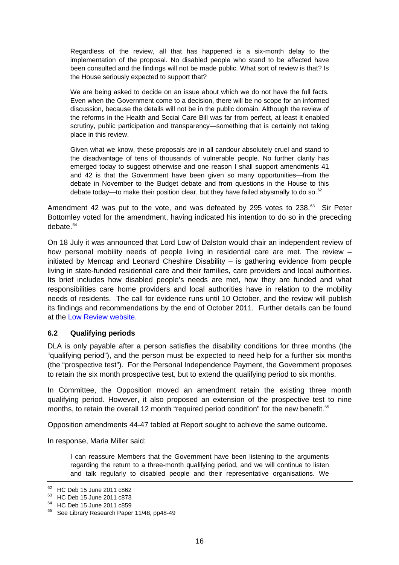<span id="page-15-0"></span>Regardless of the review, all that has happened is a six-month delay to the implementation of the proposal. No disabled people who stand to be affected have been consulted and the findings will not be made public. What sort of review is that? Is the House seriously expected to support that?

We are being asked to decide on an issue about which we do not have the full facts. Even when the Government come to a decision, there will be no scope for an informed discussion, because the details will not be in the public domain. Although the review of the reforms in the Health and Social Care Bill was far from perfect, at least it enabled scrutiny, public participation and transparency—something that is certainly not taking place in this review.

Given what we know, these proposals are in all candour absolutely cruel and stand to the disadvantage of tens of thousands of vulnerable people. No further clarity has emerged today to suggest otherwise and one reason I shall support amendments 41 and 42 is that the Government have been given so many opportunities—from the debate in November to the Budget debate and from questions in the House to this debate today—to make their position clear, but they have failed abysmally to do so.<sup>[62](#page-15-1)</sup>

Amendment 42 was put to the vote, and was defeated by 295 votes to  $238.^{\circ\circ}$  Sir Peter Bottomley voted for the amendment, having indicated his intention to do so in the preceding debate  $64$ 

On 18 July it was announced that Lord Low of Dalston would chair an independent review of how personal mobility needs of people living in residential care are met. The review – initiated by Mencap and Leonard Cheshire Disability – is gathering evidence from people living in state-funded residential care and their families, care providers and local authorities. Its brief includes how disabled people's needs are met, how they are funded and what responsibilities care home providers and local authorities have in relation to the mobility needs of residents. The call for evidence runs until 10 October, and the review will publish its findings and recommendations by the end of October 2011. Further details can be found at the [Low Review website](http://lowreview.org.uk/).

## **6.2 Qualifying periods**

DLA is only payable after a person satisfies the disability conditions for three months (the "qualifying period"), and the person must be expected to need help for a further six months (the "prospective test"). For the Personal Independence Payment, the Government proposes to retain the six month prospective test, but to extend the qualifying period to six months.

In Committee, the Opposition moved an amendment retain the existing three month qualifying period. However, it also proposed an extension of the prospective test to nine months, to retain the overall 12 month "required period condition" for the new benefit.<sup>[65](#page-15-4)</sup>

Opposition amendments 44-47 tabled at Report sought to achieve the same outcome.

In response, Maria Miller said:

I can reassure Members that the Government have been listening to the arguments regarding the return to a three-month qualifying period, and we will continue to listen and talk regularly to disabled people and their representative organisations. We

<span id="page-15-1"></span><sup>62</sup> HC Deb 15 June 2011 c862

<span id="page-15-2"></span><sup>63</sup> HC Deb 15 June 2011 c873

<span id="page-15-3"></span><sup>64</sup> HC Deb 15 June 2011 c859

<span id="page-15-4"></span><sup>&</sup>lt;sup>65</sup> See Library Research Paper 11/48, pp48-49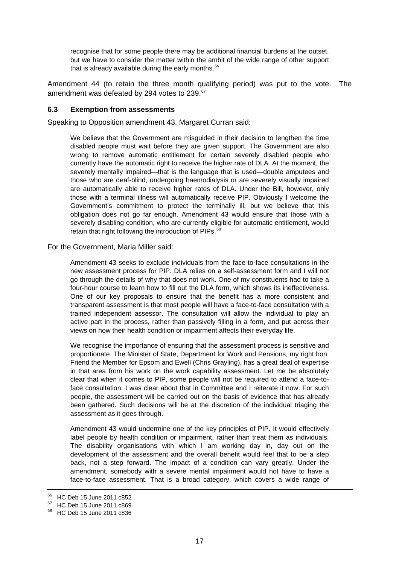<span id="page-16-0"></span>recognise that for some people there may be additional financial burdens at the outset, but we have to consider the matter within the ambit of the wide range of other support that is already available during the early months.<sup>[66](#page-16-1)</sup>

Amendment 44 (to retain the three month qualifying period) was put to the vote. The amendment was defeated by 294 votes to 239.<sup>[67](#page-16-2)</sup>

#### **6.3 Exemption from assessments**

Speaking to Opposition amendment 43, Margaret Curran said:

We believe that the Government are misguided in their decision to lengthen the time disabled people must wait before they are given support. The Government are also wrong to remove automatic entitlement for certain severely disabled people who currently have the automatic right to receive the higher rate of DLA. At the moment, the severely mentally impaired—that is the language that is used—double amputees and those who are deaf-blind, undergoing haemodialysis or are severely visually impaired are automatically able to receive higher rates of DLA. Under the Bill, however, only those with a terminal illness will automatically receive PIP. Obviously I welcome the Government's commitment to protect the terminally ill, but we believe that this obligation does not go far enough. Amendment 43 would ensure that those with a severely disabling condition, who are currently eligible for automatic entitlement, would retain that right following the introduction of PIPs.<sup>[68](#page-16-3)</sup>

For the Government, Maria Miller said:

Amendment 43 seeks to exclude individuals from the face-to-face consultations in the new assessment process for PIP. DLA relies on a self-assessment form and I will not go through the details of why that does not work. One of my constituents had to take a four-hour course to learn how to fill out the DLA form, which shows its ineffectiveness. One of our key proposals to ensure that the benefit has a more consistent and transparent assessment is that most people will have a face-to-face consultation with a trained independent assessor. The consultation will allow the individual to play an active part in the process, rather than passively filling in a form, and put across their views on how their health condition or impairment affects their everyday life.

We recognise the importance of ensuring that the assessment process is sensitive and proportionate. The Minister of State, Department for Work and Pensions, my right hon. Friend the Member for Epsom and Ewell (Chris Grayling), has a great deal of expertise in that area from his work on the work capability assessment. Let me be absolutely clear that when it comes to PIP, some people will not be required to attend a face-toface consultation. I was clear about that in Committee and I reiterate it now. For such people, the assessment will be carried out on the basis of evidence that has already been gathered. Such decisions will be at the discretion of the individual triaging the assessment as it goes through.

Amendment 43 would undermine one of the key principles of PIP. It would effectively label people by health condition or impairment, rather than treat them as individuals. The disability organisations with which I am working day in, day out on the development of the assessment and the overall benefit would feel that to be a step back, not a step forward. The impact of a condition can vary greatly. Under the amendment, somebody with a severe mental impairment would not have to have a face-to-face assessment. That is a broad category, which covers a wide range of

<sup>66</sup> HC Deb 15 June 2011 c852

<span id="page-16-2"></span><span id="page-16-1"></span><sup>67</sup> HC Deb 15 June 2011 c869

<span id="page-16-3"></span><sup>&</sup>lt;sup>68</sup> HC Deb 15 June 2011 c836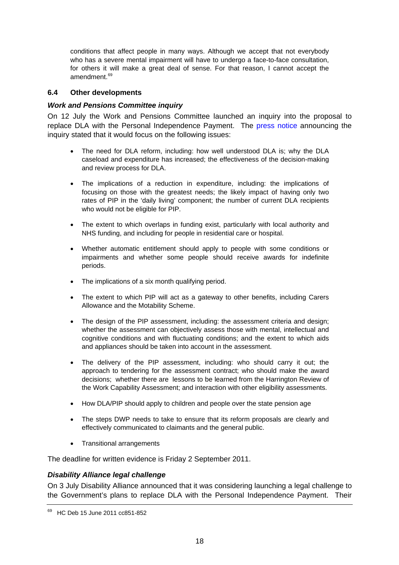<span id="page-17-0"></span>conditions that affect people in many ways. Although we accept that not everybody who has a severe mental impairment will have to undergo a face-to-face consultation, for others it will make a great deal of sense. For that reason, I cannot accept the amendment.<sup>[69](#page-17-1)</sup>

### **6.4 Other developments**

## *Work and Pensions Committee inquiry*

On 12 July the Work and Pensions Committee launched an inquiry into the proposal to replace DLA with the Personal Independence Payment. The [press notice](http://www.parliament.uk/business/committees/committees-a-z/commons-select/work-and-pensions-committee/inquiries/dla/) announcing the inquiry stated that it would focus on the following issues:

- The need for DLA reform, including: how well understood DLA is; why the DLA caseload and expenditure has increased; the effectiveness of the decision-making and review process for DLA.
- The implications of a reduction in expenditure, including: the implications of focusing on those with the greatest needs; the likely impact of having only two rates of PIP in the 'daily living' component; the number of current DLA recipients who would not be eligible for PIP.
- The extent to which overlaps in funding exist, particularly with local authority and NHS funding, and including for people in residential care or hospital.
- Whether automatic entitlement should apply to people with some conditions or impairments and whether some people should receive awards for indefinite periods.
- The implications of a six month qualifying period.
- The extent to which PIP will act as a gateway to other benefits, including Carers Allowance and the Motability Scheme.
- The design of the PIP assessment, including: the assessment criteria and design: whether the assessment can objectively assess those with mental, intellectual and cognitive conditions and with fluctuating conditions; and the extent to which aids and appliances should be taken into account in the assessment.
- The delivery of the PIP assessment, including: who should carry it out; the approach to tendering for the assessment contract; who should make the award decisions; whether there are lessons to be learned from the Harrington Review of the Work Capability Assessment; and interaction with other eligibility assessments.
- How DLA/PIP should apply to children and people over the state pension age
- The steps DWP needs to take to ensure that its reform proposals are clearly and effectively communicated to claimants and the general public.
- Transitional arrangements

The deadline for written evidence is Friday 2 September 2011.

## *Disability Alliance legal challenge*

On 3 July Disability Alliance announced that it was considering launching a legal challenge to the Government's plans to replace DLA with the Personal Independence Payment. Their

<span id="page-17-1"></span><sup>69</sup> HC Deb 15 June 2011 cc851-852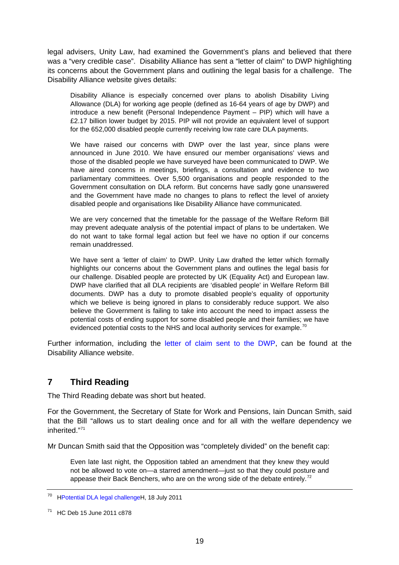<span id="page-18-0"></span>legal advisers, Unity Law, had examined the Government's plans and believed that there was a "very credible case". Disability Alliance has sent a "letter of claim" to DWP highlighting its concerns about the Government plans and outlining the legal basis for a challenge. The Disability Alliance website gives details:

Disability Alliance is especially concerned over plans to abolish Disability Living Allowance (DLA) for working age people (defined as 16-64 years of age by DWP) and introduce a new benefit (Personal Independence Payment – PIP) which will have a £2.17 billion lower budget by 2015. PIP will not provide an equivalent level of support for the 652,000 disabled people currently receiving low rate care DLA payments.

We have raised our concerns with DWP over the last year, since plans were announced in June 2010. We have ensured our member organisations' views and those of the disabled people we have surveyed have been communicated to DWP. We have aired concerns in meetings, briefings, a consultation and evidence to two parliamentary committees. Over 5,500 organisations and people responded to the Government consultation on DLA reform. But concerns have sadly gone unanswered and the Government have made no changes to plans to reflect the level of anxiety disabled people and organisations like Disability Alliance have communicated.

We are very concerned that the timetable for the passage of the Welfare Reform Bill may prevent adequate analysis of the potential impact of plans to be undertaken. We do not want to take formal legal action but feel we have no option if our concerns remain unaddressed.

We have sent a 'letter of claim' to DWP. Unity Law drafted the letter which formally highlights our concerns about the Government plans and outlines the legal basis for our challenge. Disabled people are protected by UK (Equality Act) and European law. DWP have clarified that all DLA recipients are 'disabled people' in Welfare Reform Bill documents. DWP has a duty to promote disabled people's equality of opportunity which we believe is being ignored in plans to considerably reduce support. We also believe the Government is failing to take into account the need to impact assess the potential costs of ending support for some disabled people and their families; we have evidenced potential costs to the NHS and local authority services for example.<sup>[70](#page-18-1)</sup>

Further information, including the [letter of claim sent to the DWP,](http://www.disabilityalliance.org/dlachallenge.pdf) can be found at the Disability Alliance website.

## **7 Third Reading**

The Third Reading debate was short but heated.

For the Government, the Secretary of State for Work and Pensions, Iain Duncan Smith, said that the Bill "allows us to start dealing once and for all with the welfare dependency we inherited."[71](#page-18-2)

Mr Duncan Smith said that the Opposition was "completely divided" on the benefit cap:

Even late last night, the Opposition tabled an amendment that they knew they would not be allowed to vote on—a starred amendment—just so that they could posture and appease their Back Benchers, who are on the wrong side of the debate entirely.<sup>[72](#page-18-3)</sup>

<span id="page-18-3"></span><span id="page-18-1"></span><sup>70</sup> HPotential DLA legal challengeH, 18 July 2011

<span id="page-18-2"></span><sup>71</sup> HC Deb 15 June 2011 c878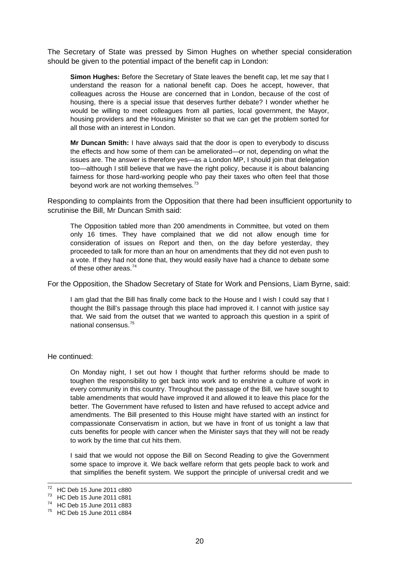The Secretary of State was pressed by Simon Hughes on whether special consideration should be given to the potential impact of the benefit cap in London:

**Simon Hughes:** Before the Secretary of State leaves the benefit cap, let me say that I understand the reason for a national benefit cap. Does he accept, however, that colleagues across the House are concerned that in London, because of the cost of housing, there is a special issue that deserves further debate? I wonder whether he would be willing to meet colleagues from all parties, local government, the Mayor, housing providers and the Housing Minister so that we can get the problem sorted for all those with an interest in London.

**Mr Duncan Smith:** I have always said that the door is open to everybody to discuss the effects and how some of them can be ameliorated—or not, depending on what the issues are. The answer is therefore yes—as a London MP, I should join that delegation too—although I still believe that we have the right policy, because it is about balancing fairness for those hard-working people who pay their taxes who often feel that those beyond work are not working themselves.<sup>[73](#page-19-0)</sup>

Responding to complaints from the Opposition that there had been insufficient opportunity to scrutinise the Bill, Mr Duncan Smith said:

The Opposition tabled more than 200 amendments in Committee, but voted on them only 16 times. They have complained that we did not allow enough time for consideration of issues on Report and then, on the day before yesterday, they proceeded to talk for more than an hour on amendments that they did not even push to a vote. If they had not done that, they would easily have had a chance to debate some of these other areas.[74](#page-19-1)

For the Opposition, the Shadow Secretary of State for Work and Pensions, Liam Byrne, said:

I am glad that the Bill has finally come back to the House and I wish I could say that I thought the Bill's passage through this place had improved it. I cannot with justice say that. We said from the outset that we wanted to approach this question in a spirit of national consensus.[75](#page-19-2)

He continued:

On Monday night, I set out how I thought that further reforms should be made to toughen the responsibility to get back into work and to enshrine a culture of work in every community in this country. Throughout the passage of the Bill, we have sought to table amendments that would have improved it and allowed it to leave this place for the better. The Government have refused to listen and have refused to accept advice and amendments. The Bill presented to this House might have started with an instinct for compassionate Conservatism in action, but we have in front of us tonight a law that cuts benefits for people with cancer when the Minister says that they will not be ready to work by the time that cut hits them.

I said that we would not oppose the Bill on Second Reading to give the Government some space to improve it. We back welfare reform that gets people back to work and that simplifies the benefit system. We support the principle of universal credit and we

  $72$  HC Deb 15 June 2011 c880

<span id="page-19-0"></span><sup>73</sup> HC Deb 15 June 2011 c881

<span id="page-19-1"></span><sup>74</sup> HC Deb 15 June 2011 c883

<span id="page-19-2"></span><sup>75</sup> HC Deb 15 June 2011 c884